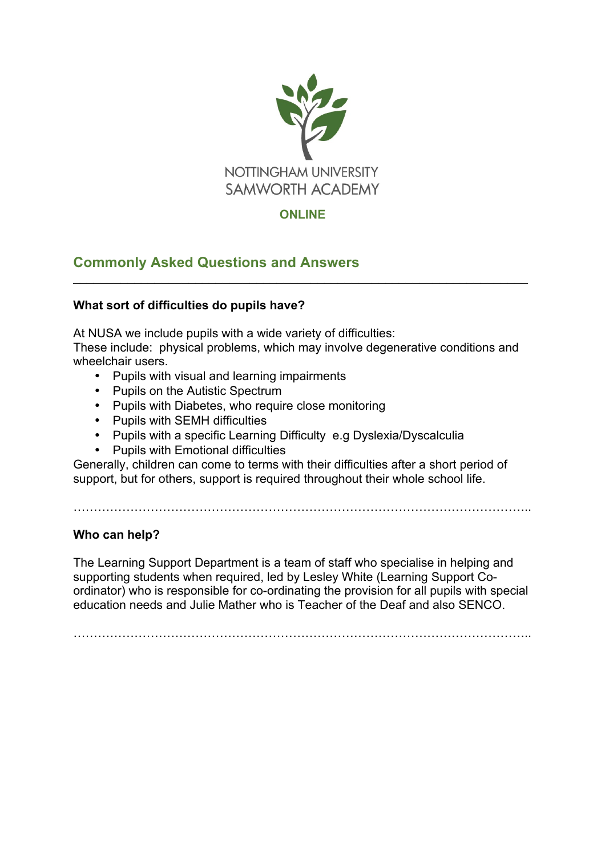

# **ONLINE**

 $\mathcal{L}_\text{max} = \mathcal{L}_\text{max} = \mathcal{L}_\text{max} = \mathcal{L}_\text{max} = \mathcal{L}_\text{max} = \mathcal{L}_\text{max} = \mathcal{L}_\text{max} = \mathcal{L}_\text{max} = \mathcal{L}_\text{max} = \mathcal{L}_\text{max} = \mathcal{L}_\text{max} = \mathcal{L}_\text{max} = \mathcal{L}_\text{max} = \mathcal{L}_\text{max} = \mathcal{L}_\text{max} = \mathcal{L}_\text{max} = \mathcal{L}_\text{max} = \mathcal{L}_\text{max} = \mathcal{$ 

# **Commonly Asked Questions and Answers**

## **What sort of difficulties do pupils have?**

At NUSA we include pupils with a wide variety of difficulties:

These include: physical problems, which may involve degenerative conditions and wheelchair users.

- Pupils with visual and learning impairments
- Pupils on the Autistic Spectrum
- Pupils with Diabetes, who require close monitoring
- Pupils with SEMH difficulties
- Pupils with a specific Learning Difficulty e.g Dyslexia/Dyscalculia
- Pupils with Emotional difficulties

Generally, children can come to terms with their difficulties after a short period of support, but for others, support is required throughout their whole school life.

…………………………………………………………………………………………………..

## **Who can help?**

The Learning Support Department is a team of staff who specialise in helping and supporting students when required, led by Lesley White (Learning Support Coordinator) who is responsible for co-ordinating the provision for all pupils with special education needs and Julie Mather who is Teacher of the Deaf and also SENCO.

…………………………………………………………………………………………………..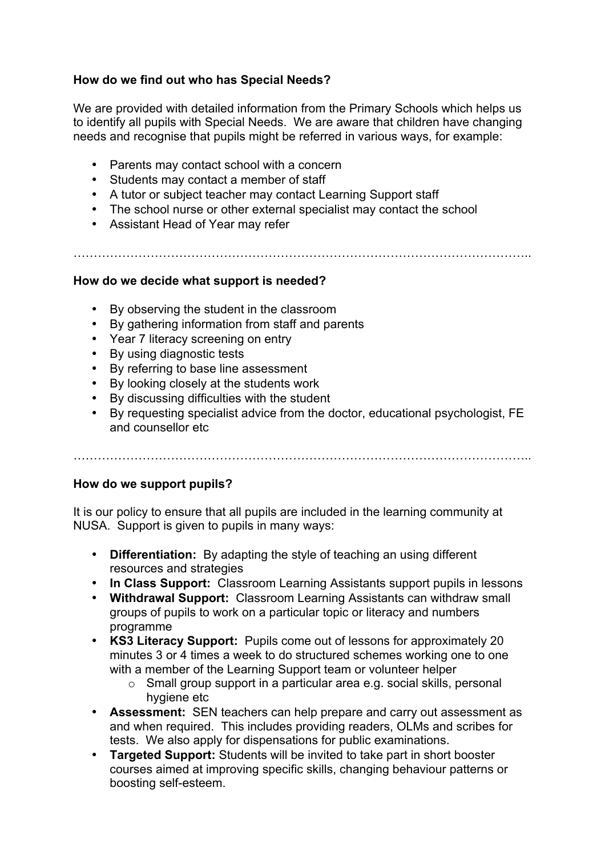## **How do we find out who has Special Needs?**

We are provided with detailed information from the Primary Schools which helps us to identify all pupils with Special Needs. We are aware that children have changing needs and recognise that pupils might be referred in various ways, for example:

- Parents may contact school with a concern
- Students may contact a member of staff
- A tutor or subject teacher may contact Learning Support staff
- The school nurse or other external specialist may contact the school

…………………………………………………………………………………………………..

• Assistant Head of Year may refer

### **How do we decide what support is needed?**

- By observing the student in the classroom
- By gathering information from staff and parents
- Year 7 literacy screening on entry
- By using diagnostic tests
- By referring to base line assessment
- By looking closely at the students work
- By discussing difficulties with the student
- By requesting specialist advice from the doctor, educational psychologist, FE and counsellor etc

…………………………………………………………………………………………………..

### **How do we support pupils?**

It is our policy to ensure that all pupils are included in the learning community at NUSA. Support is given to pupils in many ways:

- **Differentiation:** By adapting the style of teaching an using different resources and strategies
- **In Class Support:** Classroom Learning Assistants support pupils in lessons
- **Withdrawal Support:** Classroom Learning Assistants can withdraw small groups of pupils to work on a particular topic or literacy and numbers programme
- **KS3 Literacy Support:** Pupils come out of lessons for approximately 20 minutes 3 or 4 times a week to do structured schemes working one to one with a member of the Learning Support team or volunteer helper
	- o Small group support in a particular area e.g. social skills, personal hygiene etc
- **Assessment:** SEN teachers can help prepare and carry out assessment as and when required. This includes providing readers, OLMs and scribes for tests. We also apply for dispensations for public examinations.
- **Targeted Support:** Students will be invited to take part in short booster courses aimed at improving specific skills, changing behaviour patterns or boosting self-esteem.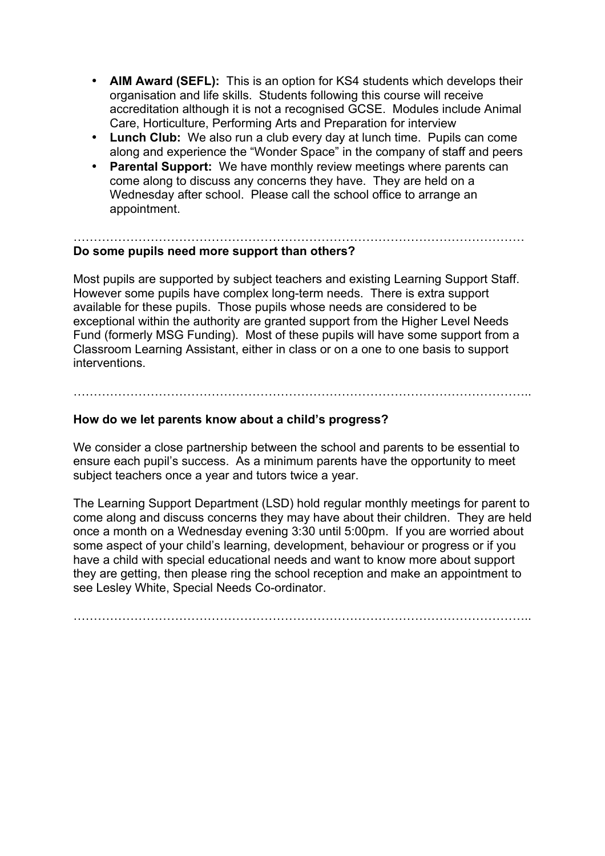- **AIM Award (SEFL):** This is an option for KS4 students which develops their organisation and life skills. Students following this course will receive accreditation although it is not a recognised GCSE. Modules include Animal Care, Horticulture, Performing Arts and Preparation for interview
- **Lunch Club:** We also run a club every day at lunch time. Pupils can come along and experience the "Wonder Space" in the company of staff and peers
- **Parental Support:** We have monthly review meetings where parents can come along to discuss any concerns they have. They are held on a Wednesday after school. Please call the school office to arrange an appointment.

#### ………………………………………………………………………………………………… **Do some pupils need more support than others?**

Most pupils are supported by subject teachers and existing Learning Support Staff. However some pupils have complex long-term needs. There is extra support available for these pupils. Those pupils whose needs are considered to be exceptional within the authority are granted support from the Higher Level Needs Fund (formerly MSG Funding). Most of these pupils will have some support from a Classroom Learning Assistant, either in class or on a one to one basis to support interventions.

# **How do we let parents know about a child's progress?**

We consider a close partnership between the school and parents to be essential to ensure each pupil's success. As a minimum parents have the opportunity to meet subject teachers once a year and tutors twice a year.

…………………………………………………………………………………………………..

The Learning Support Department (LSD) hold regular monthly meetings for parent to come along and discuss concerns they may have about their children. They are held once a month on a Wednesday evening 3:30 until 5:00pm. If you are worried about some aspect of your child's learning, development, behaviour or progress or if you have a child with special educational needs and want to know more about support they are getting, then please ring the school reception and make an appointment to see Lesley White, Special Needs Co-ordinator.

…………………………………………………………………………………………………..